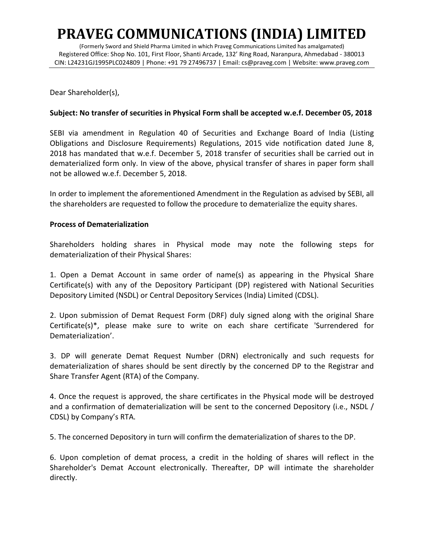## **PRAVEG COMMUNICATIONS (INDIA) LIMITED**

(Formerly Sword and Shield Pharma Limited in which Praveg Communications Limited has amalgamated) Registered Office: Shop No. 101, First Floor, Shanti Arcade, 132' Ring Road, Naranpura, Ahmedabad - 380013 CIN: L24231GJ1995PLC024809 | Phone: +91 79 27496737 | Email: cs@praveg.com | Website: www.praveg.com

Dear Shareholder(s),

## **Subject: No transfer of securities in Physical Form shall be accepted w.e.f. December 05, 2018**

SEBI via amendment in Regulation 40 of Securities and Exchange Board of India (Listing Obligations and Disclosure Requirements) Regulations, 2015 vide notification dated June 8, 2018 has mandated that w.e.f. December 5, 2018 transfer of securities shall be carried out in dematerialized form only. In view of the above, physical transfer of shares in paper form shall not be allowed w.e.f. December 5, 2018.

In order to implement the aforementioned Amendment in the Regulation as advised by SEBI, all the shareholders are requested to follow the procedure to dematerialize the equity shares.

## **Process of Dematerialization**

Shareholders holding shares in Physical mode may note the following steps for dematerialization of their Physical Shares:

1. Open a Demat Account in same order of name(s) as appearing in the Physical Share Certificate(s) with any of the Depository Participant (DP) registered with National Securities Depository Limited (NSDL) or Central Depository Services (India) Limited (CDSL).

2. Upon submission of Demat Request Form (DRF) duly signed along with the original Share Certificate(s)\*, please make sure to write on each share certificate 'Surrendered for Dematerialization'.

3. DP will generate Demat Request Number (DRN) electronically and such requests for dematerialization of shares should be sent directly by the concerned DP to the Registrar and Share Transfer Agent (RTA) of the Company.

4. Once the request is approved, the share certificates in the Physical mode will be destroyed and a confirmation of dematerialization will be sent to the concerned Depository (i.e., NSDL / CDSL) by Company's RTA.

5. The concerned Depository in turn will confirm the dematerialization of shares to the DP.

6. Upon completion of demat process, a credit in the holding of shares will reflect in the Shareholder's Demat Account electronically. Thereafter, DP will intimate the shareholder directly.